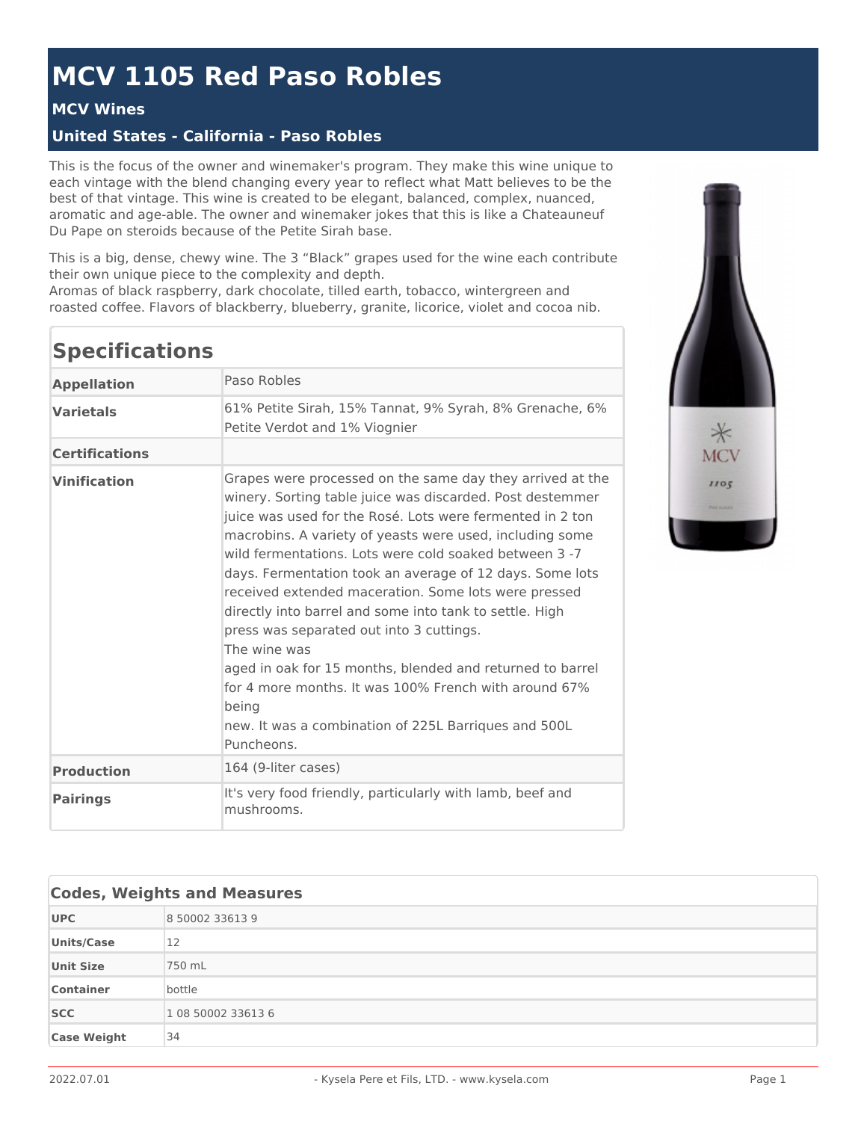## **MCV 1105 Red Paso Robles**

## **MCV Wines**

## **United States - California - Paso Robles**

This is the focus of the owner and winemaker's program. They make this wine unique to each vintage with the blend changing every year to reflect what Matt believes to be the best of that vintage. This wine is created to be elegant, balanced, complex, nuanced, aromatic and age-able. The owner and winemaker jokes that this is like a Chateauneuf Du Pape on steroids because of the Petite Sirah base.

This is a big, dense, chewy wine. The 3 "Black" grapes used for the wine each contribute their own unique piece to the complexity and depth.

Aromas of black raspberry, dark chocolate, tilled earth, tobacco, wintergreen and roasted coffee. Flavors of blackberry, blueberry, granite, licorice, violet and cocoa nib.

| <b>Specifications</b> |                                                                                                                                                                                                                                                                                                                                                                                                                                                                                                                                                                                                                                                                                                                                                           |
|-----------------------|-----------------------------------------------------------------------------------------------------------------------------------------------------------------------------------------------------------------------------------------------------------------------------------------------------------------------------------------------------------------------------------------------------------------------------------------------------------------------------------------------------------------------------------------------------------------------------------------------------------------------------------------------------------------------------------------------------------------------------------------------------------|
| <b>Appellation</b>    | Paso Robles                                                                                                                                                                                                                                                                                                                                                                                                                                                                                                                                                                                                                                                                                                                                               |
| <b>Varietals</b>      | 61% Petite Sirah, 15% Tannat, 9% Syrah, 8% Grenache, 6%<br>Petite Verdot and 1% Viognier                                                                                                                                                                                                                                                                                                                                                                                                                                                                                                                                                                                                                                                                  |
| <b>Certifications</b> |                                                                                                                                                                                                                                                                                                                                                                                                                                                                                                                                                                                                                                                                                                                                                           |
| <b>Vinification</b>   | Grapes were processed on the same day they arrived at the<br>winery. Sorting table juice was discarded. Post destemmer<br>juice was used for the Rosé. Lots were fermented in 2 ton<br>macrobins. A variety of yeasts were used, including some<br>wild fermentations. Lots were cold soaked between 3 -7<br>days. Fermentation took an average of 12 days. Some lots<br>received extended maceration. Some lots were pressed<br>directly into barrel and some into tank to settle. High<br>press was separated out into 3 cuttings.<br>The wine was<br>aged in oak for 15 months, blended and returned to barrel<br>for 4 more months. It was 100% French with around 67%<br>being<br>new. It was a combination of 225L Barriques and 500L<br>Puncheons. |
| <b>Production</b>     | 164 (9-liter cases)                                                                                                                                                                                                                                                                                                                                                                                                                                                                                                                                                                                                                                                                                                                                       |
| <b>Pairings</b>       | It's very food friendly, particularly with lamb, beef and<br>mushrooms.                                                                                                                                                                                                                                                                                                                                                                                                                                                                                                                                                                                                                                                                                   |



| <b>Codes, Weights and Measures</b> |                    |
|------------------------------------|--------------------|
| <b>UPC</b>                         | 8 50002 33613 9    |
| <b>Units/Case</b>                  | 12                 |
| <b>Unit Size</b>                   | 750 mL             |
| <b>Container</b>                   | bottle             |
| <b>SCC</b>                         | 1 08 50002 33613 6 |
| <b>Case Weight</b>                 | 34                 |